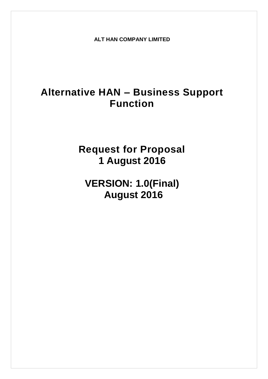**ALT HAN COMPANY LIMITED**

# **Alternative HAN – Business Support Function**

**Request for Proposal 1 August 2016**

**VERSION: 1.0(Final) August 2016**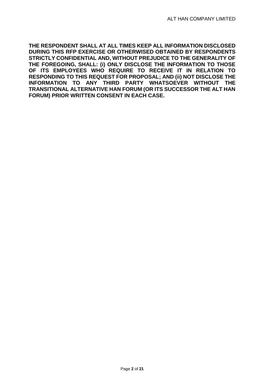**THE RESPONDENT SHALL AT ALL TIMES KEEP ALL INFORMATION DISCLOSED DURING THIS RFP EXERCISE OR OTHERWISED OBTAINED BY RESPONDENTS STRICTLY CONFIDENTIAL AND, WITHOUT PREJUDICE TO THE GENERALITY OF THE FOREGOING, SHALL: (i) ONLY DISCLOSE THE INFORMATION TO THOSE OF ITS EMPLOYEES WHO REQUIRE TO RECEIVE IT IN RELATION TO RESPONDING TO THIS REQUEST FOR PROPOSAL; AND (ii) NOT DISCLOSE THE INFORMATION TO ANY THIRD PARTY WHATSOEVER WITHOUT THE TRANSITIONAL ALTERNATIVE HAN FORUM (OR ITS SUCCESSOR THE ALT HAN FORUM) PRIOR WRITTEN CONSENT IN EACH CASE.**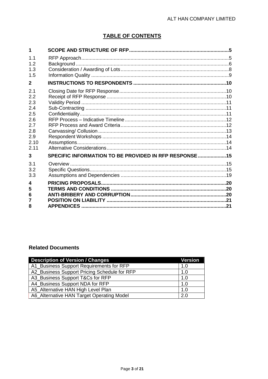# **TABLE OF CONTENTS**

| 1                                                                           |                                                        |  |
|-----------------------------------------------------------------------------|--------------------------------------------------------|--|
| 1.1<br>1.2                                                                  |                                                        |  |
| 1.3<br>1.5                                                                  |                                                        |  |
| $\mathbf{2}$                                                                |                                                        |  |
| 2.1<br>2.2<br>2.3<br>2.4<br>2.5<br>2.6<br>2.7<br>2.8<br>2.9<br>2.10<br>2.11 |                                                        |  |
| 3                                                                           | SPECIFIC INFORMATION TO BE PROVIDED IN RFP RESPONSE 15 |  |
| 3.1<br>3.2<br>3.3                                                           |                                                        |  |
| 4<br>5<br>6<br>7<br>8                                                       |                                                        |  |

# **Related Documents**

| <b>Description of Version / Changes</b>      | Version |
|----------------------------------------------|---------|
| A1_Business Support Requirements for RFP     | 1.0     |
| A2_Business Support Pricing Schedule for RFP | 1.0     |
| A3_Business Support T&Cs for RFP             | 1.0     |
| A4_Business Support NDA for RFP              | 1.0     |
| A5 Alternative HAN High Level Plan           | 1.0     |
| A6_Alternative HAN Target Operating Model    | 2.0     |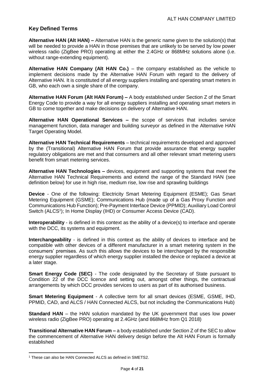# **Key Defined Terms**

**Alternative HAN (Alt HAN) –** Alternative HAN is the generic name given to the solution(s) that will be needed to provide a HAN in those premises that are unlikely to be served by low power wireless radio (ZigBee PRO) operating at either the 2.4GHz or 868MHz solutions alone (i.e. without range-extending equipment).

**Alternative HAN Company (Alt HAN Co.)** – the company established as the vehicle to implement decisions made by the Alternative HAN Forum with regard to the delivery of Alternative HAN. It is constituted of all energy suppliers installing and operating smart meters in GB, who each own a single share of the company.

**Alternative HAN Forum (Alt HAN Forum) –** A body established under Section Z of the Smart Energy Code to provide a way for all energy suppliers installing and operating smart meters in GB to come together and make decisions on delivery of Alternative HAN.

**Alternative HAN Operational Services –** the scope of services that includes service management function, data manager and building surveyor as defined in the Alternative HAN Target Operating Model.

**Alternative HAN Technical Requirements** – technical requirements developed and approved by the (Transitional) Alternative HAN Forum that provide assurance that energy supplier regulatory obligations are met and that consumers and all other relevant smart metering users benefit from smart metering services.

**Alternative HAN Technologies –** devices, equipment and supporting systems that meet the Alternative HAN Technical Requirements and extend the range of the Standard HAN (see definition below) for use in high rise, medium rise, low rise and sprawling buildings

**Device** - One of the following: Electricity Smart Metering Equipment (ESME); Gas Smart Metering Equipment (GSME); Communications Hub (made up of a Gas Proxy Function and Communications Hub Function); Pre-Payment Interface Device (PPMID); Auxiliary Load Control Switch (ALCS<sup>1</sup>); In Home Display (IHD) or Consumer Access Device (CAD).

**Interoperability** - is defined in this context as the ability of a device(s) to interface and operate with the DCC, its systems and equipment.

**Interchangeability** - is defined in this context as the ability of devices to interface and be compatible with other devices of a different manufacturer in a smart metering system in the consumers' premises. As such this allows the devices to be interchanged by the responsible energy supplier regardless of which energy supplier installed the device or replaced a device at a later stage.

**Smart Energy Code (SEC)** - The code designated by the Secretary of State pursuant to Condition 22 of the DCC licence and setting out, amongst other things, the contractual arrangements by which DCC provides services to users as part of its authorised business.

**Smart Metering Equipment** - A collective term for all smart devices (ESME, GSME, IHD, PPMID, CAD, and ALCS / HAN Connected ALCS, but not including the Communications Hub)

**Standard HAN** – the HAN solution mandated by the UK government that uses low power wireless radio (ZigBee PRO) operating at 2.4GHz (and 868MHz from Q1 2018)

**Transitional Alternative HAN Forum –** a body established under Section Z of the SEC to allow the commencement of Alternative HAN delivery design before the Alt HAN Forum is formally established

 $\overline{a}$ 

<sup>&</sup>lt;sup>1</sup> These can also be HAN Connected ALCS as defined in SMETS2.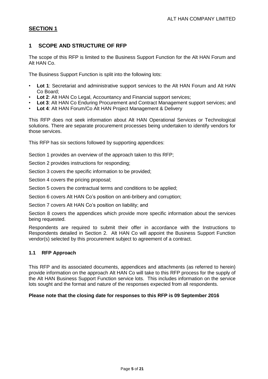# <span id="page-4-0"></span>**1 SCOPE AND STRUCTURE OF RFP**

The scope of this RFP is limited to the Business Support Function for the Alt HAN Forum and Alt HAN Co.

The Business Support Function is split into the following lots:

- **Lot 1**: Secretariat and administrative support services to the Alt HAN Forum and Alt HAN Co Board;
- **Lot 2**: Alt HAN Co Legal, Accountancy and Financial support services;
- **Lot 3: Alt HAN Co Enduring Procurement and Contract Management support services; and**
- **Lot 4**: Alt HAN Forum/Co Alt HAN Project Management & Delivery

This RFP does not seek information about Alt HAN Operational Services or Technological solutions. There are separate procurement processes being undertaken to identify vendors for those services.

This RFP has six sections followed by supporting appendices:

Section [1](#page-4-0) provides an overview of the approach taken to this RFP;

Section [2](#page-9-0) provides instructions for responding:

Section [3](#page-14-0) covers the specific information to be provided;

Section [4](#page-19-0) covers the pricing proposal;

Section [5](#page-19-1) covers the contractual terms and conditions to be applied;

Section [6](#page-19-2) covers Alt HAN Co's position on anti-bribery and corruption;

Section [7](#page-20-0) covers Alt HAN Co's position on liability; and

Section [8](#page-20-1) covers the appendices which provide more specific information about the services being requested.

Respondents are required to submit their offer in accordance with the Instructions to Respondents detailed in Section [2.](#page-9-0) Alt HAN Co will appoint the Business Support Function vendor(s) selected by this procurement subject to agreement of a contract.

#### <span id="page-4-1"></span>**1.1 RFP Approach**

This RFP and its associated documents, appendices and attachments (as referred to herein) provide information on the approach Alt HAN Co will take to this RFP process for the supply of the Alt HAN Business Support Function service lots. This includes information on the service lots sought and the format and nature of the responses expected from all respondents.

#### **Please note that the closing date for responses to this RFP is 09 September 2016**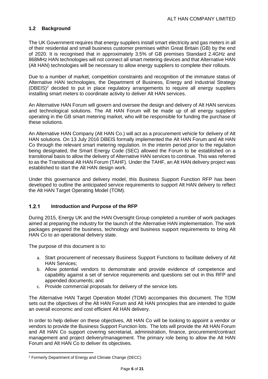### <span id="page-5-0"></span>**1.2 Background**

The UK Government requires that energy suppliers install smart electricity and gas meters in all of their residential and small business customer premises within Great Britain (GB) by the end of 2020. It is recognised that in approximately 3.5% of GB premises Standard 2.4GHz and 868MHz HAN technologies will not connect all smart metering devices and that Alternative HAN (Alt HAN) technologies will be necessary to allow energy suppliers to complete their rollouts.

Due to a number of market, competition constraints and recognition of the immature status of Alternative HAN technologies, the Department of Business, Energy and Industrial Strategy  $(DEES)^2$  decided to put in place regulatory arrangements to require all energy suppliers installing smart meters to coordinate activity to deliver Alt HAN services.

An Alternative HAN Forum will govern and oversee the design and delivery of Alt HAN services and technological solutions. The Alt HAN Forum will be made up of all energy suppliers operating in the GB smart metering market, who will be responsible for funding the purchase of these solutions.

An Alternative HAN Company (Alt HAN Co.) will act as a procurement vehicle for delivery of Alt HAN solutions. On 13 July 2016 DBEIS formally implemented the Alt HAN Forum and Alt HAN Co through the relevant smart metering regulation. In the interim period prior to the regulation being designated, the Smart Energy Code (SEC) allowed the Forum to be established on a transitional basis to allow the delivery of Alternative HAN services to continue. This was referred to as the Transitional Alt HAN Forum (TAHF). Under the TAHF, an Alt HAN delivery project was established to start the Alt HAN design work.

Under this governance and delivery model, this Business Support Function RFP has been developed to outline the anticipated service requirements to support Alt HAN delivery to reflect the Alt HAN Target Operating Model (TOM).

#### $121$ **Introduction and Purpose of the RFP**

During 2015, Energy UK and the HAN Oversight Group completed a number of work packages aimed at preparing the industry for the launch of the Alternative HAN implementation. The work packages prepared the business, technology and business support requirements to bring Alt HAN Co to an operational delivery state.

The purpose of this document is to:

- a. Start procurement of necessary Business Support Functions to facilitate delivery of Alt HAN Services;
- b. Allow potential vendors to demonstrate and provide evidence of competence and capability against a set of service requirements and questions set out in this RFP and appended documents; and
- c. Provide commercial proposals for delivery of the service lots.

The Alternative HAN Target Operation Model (TOM) accompanies this document. The TOM sets out the objectives of the Alt HAN Forum and Alt HAN principles that are intended to guide an overall economic and cost efficient Alt HAN delivery.

In order to help deliver on these objectives, Alt HAN Co will be looking to appoint a vendor or vendors to provide the Business Support Function lots. The lots will provide the Alt HAN Forum and Alt HAN Co support covering secretariat, administration, finance, procurement/contract management and project delivery/management. The primary role being to allow the Alt HAN Forum and Alt HAN Co to deliver its objectives.

 $\overline{a}$ 

<sup>2</sup> Formerly Department of Energy and Climate Change (DECC)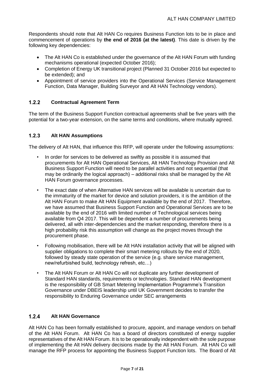Respondents should note that Alt HAN Co requires Business Function lots to be in place and commencement of operations by **the end of 2016 (at the latest)**. This date is driven by the following key dependencies:

- The Alt HAN Co is established under the governance of the Alt HAN Forum with funding mechanisms operational (expected October 2016);
- Completion of Energy UK transitional project (Planned 31 October 2016 but expected to be extended); and
- Appointment of service providers into the Operational Services (Service Management Function, Data Manager, Building Surveyor and Alt HAN Technology vendors).

#### $1.2.2$ **Contractual Agreement Term**

The term of the Business Support Function contractual agreements shall be five years with the potential for a two-year extension, on the same terms and conditions, where mutually agreed.

#### $1.2.3$ **Alt HAN Assumptions**

The delivery of Alt HAN, that influence this RFP, will operate under the following assumptions:

- In order for services to be delivered as swiftly as possible it is assumed that procurements for Alt HAN Operational Services, Alt HAN Technology Provision and Alt Business Support Function will need to be parallel activities and not sequential (that may be ordinarily the logical approach) – additional risks shall be managed by the Alt HAN Forum governance processes.
- The exact date of when Alternative HAN services will be available is uncertain due to the immaturity of the market for device and solution providers, it is the ambition of the Alt HAN Forum to make Alt HAN Equipment available by the end of 2017. Therefore, we have assumed that Business Support Function and Operational Services are to be available by the end of 2016 with limited number of Technological services being available from Q4 2017. This will be dependent a number of procurements being delivered, all with inter-dependencies and the market responding, therefore there is a high probability risk this assumption will change as the project moves through the procurement phase.
- Following mobilisation, there will be Alt HAN installation activity that will be aligned with supplier obligations to complete their smart metering rollouts by the end of 2020, followed by steady state operation of the service (e.g. share service management, new/refurbished build, technology refresh, etc…)
- The Alt HAN Forum or Alt HAN Co will not duplicate any further development of Standard HAN standards, requirements or technologies. Standard HAN development is the responsibility of GB Smart Metering Implementation Programme's Transition Governance under DBEIS leadership until UK Government decides to transfer the responsibility to Enduring Governance under SEC arrangements

#### $1.2.4$ **Alt HAN Governance**

Alt HAN Co has been formally established to procure, appoint, and manage vendors on behalf of the Alt HAN Forum. Alt HAN Co has a board of directors constituted of energy supplier representatives of the Alt HAN Forum. It is to be operationally independent with the sole purpose of implementing the Alt HAN delivery decisions made by the Alt HAN Forum. Alt HAN Co will manage the RFP process for appointing the Business Support Function lots. The Board of Alt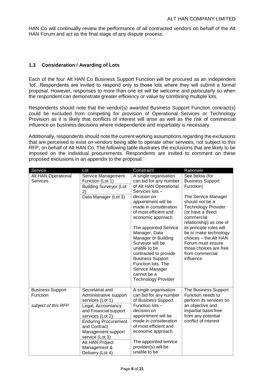HAN Co will continually review the performance of all contracted vendors on behalf of the Alt HAN Forum and act as the final stage of any dispute process.

### <span id="page-7-0"></span>**1.3 Consideration / Awarding of Lots**

Each of the four Alt HAN Co Business Support Function will be procured as an independent 'lot'. Respondents are invited to respond only to those lots where they will submit a formal proposal. However, responses to more than one lot will be welcome and particularly so when the respondent can demonstrate greater efficiency or value by combining multiple lots.

Respondents should note that the vendor(s) awarded Business Support Function contract(s) could be excluded from competing for provision of Operational Services or Technology Provision as it is likely that conflicts of interest will arise as well as the risk of commercial influence on business decisions where independence and impartiality is necessary.

Additionally, respondents should note the current working assumptions regarding the exclusions that are perceived to exist on vendors being able to operate other services, not subject to this RFP, on behalf of Alt HAN Co. The following table illustrates the exclusions that are likely to be imposed on the individual procurements. Respondents are invited to comment on these proposed exclusions in an appendix to the proposal.

| Service                                                           | Lot                                                                                                                                                                                                                                                                             | Constraint                                                                                                                                                                                                                                                                                                                                                                                                                                               | Rationale                                                                                                                                                                                                                                                                                                                                                 |
|-------------------------------------------------------------------|---------------------------------------------------------------------------------------------------------------------------------------------------------------------------------------------------------------------------------------------------------------------------------|----------------------------------------------------------------------------------------------------------------------------------------------------------------------------------------------------------------------------------------------------------------------------------------------------------------------------------------------------------------------------------------------------------------------------------------------------------|-----------------------------------------------------------------------------------------------------------------------------------------------------------------------------------------------------------------------------------------------------------------------------------------------------------------------------------------------------------|
| Alt HAN Operational<br><b>Services</b>                            | Service Management<br>Function (Lot 1)<br><b>Building Surveyor (Lot</b><br>2)<br>Data Manager (Lot 3)                                                                                                                                                                           | A single organisation<br>can bid for any number<br>of Alt HAN Operational<br>Services lots-<br>decision on<br>appointment will be<br>made in consideration<br>of most efficient and<br>economic approach.<br>The appointed Service<br>Manager, Data<br>Manager or Building<br>Surveyor will be<br>unable to be<br>contracted to provide<br><b>Business Support</b><br>Function lots. The<br>Service Manager<br>cannot be a<br><b>Technology Provider</b> | See below (for<br><b>Business Support</b><br>Function)<br>The Service Manager<br>should not be a<br><b>Technology Provider</b><br>(or have a direct<br>commercial<br>relationship) as one of<br>its principle roles will<br>be to make technology<br>choices - the Alt HAN<br>Forum must ensure<br>those choices are free<br>from commercial<br>influence |
| <b>Business Support</b><br><b>Function</b><br>subject of this RFP | Secretariat and<br>Administrative support<br>services (Lot 1)<br>Legal, Accountancy<br>and Financial support<br>services (Lot 2)<br><b>Enduring Procurement</b><br>and Contract<br>Management support<br>service (Lot 3)<br>Alt HAN Project<br>Management &<br>Delivery (Lot 4) | A single organisation<br>can bid for any number<br>of Business Support<br>Function lots -<br>decision on<br>appointment will be<br>made in consideration<br>of most efficient and<br>economic approach.<br>The appointed service<br>provider(s) will be<br>unable to be                                                                                                                                                                                  | The Business Support<br>Function needs to<br>perform its services on<br>an objective and<br>impartial basis free<br>from any potential<br>conflict of interest                                                                                                                                                                                            |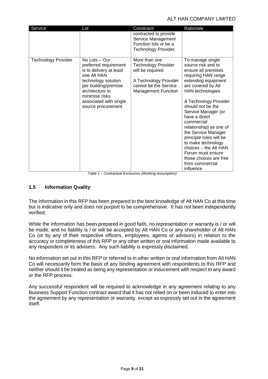#### ALT HAN COMPANY LIMITED

| Service                    | Lot                                                                                                                                                                                                                      | Constraint                                                                                                                                      | Rationale                                                                                                                                                                                                                                                                                                                                                                                                                                                            |
|----------------------------|--------------------------------------------------------------------------------------------------------------------------------------------------------------------------------------------------------------------------|-------------------------------------------------------------------------------------------------------------------------------------------------|----------------------------------------------------------------------------------------------------------------------------------------------------------------------------------------------------------------------------------------------------------------------------------------------------------------------------------------------------------------------------------------------------------------------------------------------------------------------|
|                            |                                                                                                                                                                                                                          | contracted to provide<br>Service Management<br>Function lots or be a<br>Technology Provider.                                                    |                                                                                                                                                                                                                                                                                                                                                                                                                                                                      |
| <b>Technology Provider</b> | $No$ Lots $-$ Our<br>preferred requirement<br>is to delivery at least<br>one Alt HAN<br>technology solution<br>per building/premise<br>architecture to<br>minimise risks<br>associated with single<br>source procurement | More than one<br><b>Technology Provider</b><br>will be required<br>A Technology Provider<br>cannot be the Service<br><b>Management Function</b> | To manage single<br>source risk and to<br>ensure all premises<br>requiring HAN range<br>extending equipment<br>are covered by Alt<br>HAN technologies<br>A Technology Provider<br>should not be the<br>Service Manager (or<br>have a direct<br>commercial<br>relationship) as one of<br>the Service Manager<br>principle roles will be<br>to make technology<br>choices - the Alt HAN<br>Forum must ensure<br>those choices are free<br>from commercial<br>influence |

*Table 1 – Contractual Exclusions (Working Assumption)*

### <span id="page-8-0"></span>**1.5 Information Quality**

The information in this RFP has been prepared to the best knowledge of Alt HAN Co at this time but is indicative only and does not purport to be comprehensive. It has not been independently verified.

While the information has been prepared in good faith, no representation or warranty is / or will be made, and no liability is / or will be accepted by Alt HAN Co or any shareholder of Alt HAN Co (or by any of their respective officers, employees, agents or advisors) in relation to the accuracy or completeness of this RFP or any other written or oral information made available to any respondent or its advisers. Any such liability is expressly disclaimed.

No information set out in this RFP or referred to in other written or oral information from Alt HAN Co will necessarily form the basis of any binding agreement with respondents to this RFP and neither should it be treated as being any representation or inducement with respect to any award or the RFP process.

Any successful respondent will be required to acknowledge in any agreement relating to any Business Support Function contract award that it has not relied on or been induced to enter into the agreement by any representation or warranty, except as expressly set out in the agreement itself.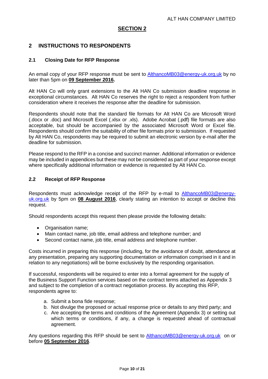# <span id="page-9-0"></span>**2 INSTRUCTIONS TO RESPONDENTS**

#### <span id="page-9-1"></span>**2.1 Closing Date for RFP Response**

An email copy of your RFP response must be sent to [AlthancoMB03@energy-uk.org.uk](mailto:AlthancoMB03@energy-uk.org.uk) by no later than 5pm on **09 September 2016.**

Alt HAN Co will only grant extensions to the Alt HAN Co submission deadline response in exceptional circumstances. Alt HAN Co reserves the right to reject a respondent from further consideration where it receives the response after the deadline for submission.

Respondents should note that the standard file formats for Alt HAN Co are Microsoft Word (.docx or .doc) and Microsoft Excel (.xlsx or .xls). Adobe Acrobat (.pdf) file formats are also acceptable, but should be accompanied by the associated Microsoft Word or Excel file. Respondents should confirm the suitability of other file formats prior to submission. If requested by Alt HAN Co, respondents may be required to submit an electronic version by e-mail after the deadline for submission.

Please respond to the RFP in a concise and succinct manner. Additional information or evidence may be included in appendices but these may not be considered as part of your response except where specifically additional information or evidence is requested by Alt HAN Co.

#### <span id="page-9-2"></span>**2.2 Receipt of RFP Response**

Respondents must acknowledge receipt of the RFP by e-mail to **[AlthancoMB03@energy](mailto:AlthancoMB03@energy-uk.org.uk)**[uk.org.uk](mailto:AlthancoMB03@energy-uk.org.uk) by 5pm on **08 August 2016**, clearly stating an intention to accept or decline this request.

Should respondents accept this request then please provide the following details:

- Organisation name;
- Main contact name, job title, email address and telephone number; and
- Second contact name, job title, email address and telephone number.

Costs incurred in preparing this response (including, for the avoidance of doubt, attendance at any presentation, preparing any supporting documentation or information comprised in it and in relation to any negotiations) will be borne exclusively by the responding organisation.

If successful, respondents will be required to enter into a formal agreement for the supply of the Business Support Function services based on the contract terms attached as Appendix 3 and subject to the completion of a contract negotiation process. By accepting this RFP, respondents agree to:

- a. Submit a bona fide response;
- b. Not divulge the proposed or actual response price or details to any third party; and
- c. Are accepting the terms and conditions of the Agreement (Appendix 3) or setting out which terms or conditions, if any, a change is requested ahead of contractual agreement.

Any questions regarding this RFP should be sent to [AlthancoMB03@energy-uk.org.uk](mailto:AlthancoMB03@energy-uk.org.uk) on or before **05 September 2016**.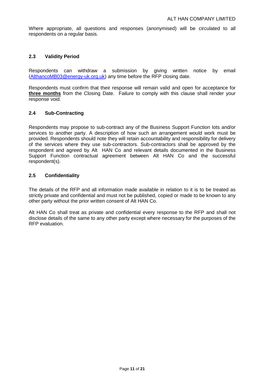Where appropriate, all questions and responses (anonymised) will be circulated to all respondents on a regular basis.

#### <span id="page-10-0"></span>**2.3 Validity Period**

Respondents can withdraw a submission by giving written notice by email [\(AlthancoMB03@energy-uk.org.uk\)](mailto:AlthancoMB03@energy-uk.org.uk) any time before the RFP closing date.

Respondents must confirm that their response will remain valid and open for acceptance for **three months** from the Closing Date. Failure to comply with this clause shall render your response void.

#### <span id="page-10-1"></span>**2.4 Sub-Contracting**

Respondents may propose to sub-contract any of the Business Support Function lots and/or services to another party. A description of how such an arrangement would work must be provided. Respondents should note they will retain accountability and responsibility for delivery of the services where they use sub-contractors. Sub-contractors shall be approved by the respondent and agreed by Alt HAN Co and relevant details documented in the Business Support Function contractual agreement between Alt HAN Co and the successful respondent(s).

#### <span id="page-10-2"></span>**2.5 Confidentiality**

The details of the RFP and all information made available in relation to it is to be treated as strictly private and confidential and must not be published, copied or made to be known to any other party without the prior written consent of Alt HAN Co.

Alt HAN Co shall treat as private and confidential every response to the RFP and shall not disclose details of the same to any other party except where necessary for the purposes of the RFP evaluation.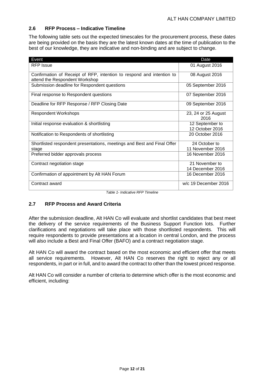#### <span id="page-11-0"></span>**2.6 RFP Process – Indicative Timeline**

The following table sets out the expected timescales for the procurement process, these dates are being provided on the basis they are the latest known dates at the time of publication to the best of our knowledge, they are indicative and non-binding and are subject to change.

| Event                                                                                                   | Date                               |
|---------------------------------------------------------------------------------------------------------|------------------------------------|
| <b>RFP</b> Issue                                                                                        | 01 August 2016                     |
| Confirmation of Receipt of RFP, intention to respond and intention to<br>attend the Respondent Workshop | 08 August 2016                     |
| Submission deadline for Respondent questions                                                            | 05 September 2016                  |
| Final response to Respondent questions                                                                  | 07 September 2016                  |
| Deadline for RFP Response / RFP Closing Date                                                            | 09 September 2016                  |
| <b>Respondent Workshops</b>                                                                             | 23, 24 or 25 August<br>2016        |
| Initial response evaluation & shortlisting                                                              | 12 September to<br>12 October 2016 |
| Notification to Respondents of shortlisting                                                             | 20 October 2016                    |
| Shortlisted respondent presentations, meetings and Best and Final Offer<br>stage                        | 24 October to<br>11 November 2016  |
| Preferred bidder approvals process                                                                      | 16 November 2016                   |
| Contract negotiation stage                                                                              | 21 November to<br>14 December 2016 |
| Confirmation of appointment by Alt HAN Forum                                                            | 16 December 2016                   |
| Contract award                                                                                          | w/c 19 December 2016               |

*Table 1- Indicative RFP Timeline*

# <span id="page-11-1"></span>**2.7 RFP Process and Award Criteria**

After the submission deadline, Alt HAN Co will evaluate and shortlist candidates that best meet the delivery of the service requirements of the Business Support Function lots. Further clarifications and negotiations will take place with those shortlisted respondents. This will require respondents to provide presentations at a location in central London, and the process will also include a Best and Final Offer (BAFO) and a contract negotiation stage.

Alt HAN Co will award the contract based on the most economic and efficient offer that meets all service requirements. However, Alt HAN Co reserves the right to reject any or all respondents, in part or in full, and to award the contract to other than the lowest priced response.

Alt HAN Co will consider a number of criteria to determine which offer is the most economic and efficient, including: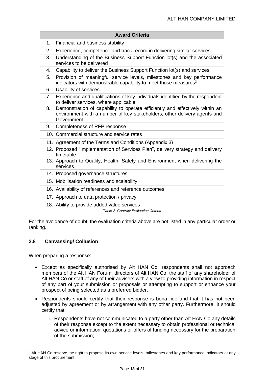|    | <b>Award Criteria</b>                                                                                                                                                  |
|----|------------------------------------------------------------------------------------------------------------------------------------------------------------------------|
| 1. | Financial and business stability                                                                                                                                       |
| 2. | Experience, competence and track record in delivering similar services                                                                                                 |
| 3. | Understanding of the Business Support Function lot(s) and the associated<br>services to be delivered                                                                   |
| 4. | Capability to deliver the Business Support Function lot(s) and services                                                                                                |
| 5. | Provision of meaningful service levels, milestones and key performance<br>indicators with demonstrable capability to meet those measures <sup>3</sup>                  |
| 6. | Usability of services                                                                                                                                                  |
| 7. | Experience and qualifications of key individuals identified by the respondent<br>to deliver services, where applicable                                                 |
| 8. | Demonstration of capability to operate efficiently and effectively within an<br>environment with a number of key stakeholders, other delivery agents and<br>Government |
| 9. | Completeness of RFP response                                                                                                                                           |
|    | 10. Commercial structure and service rates                                                                                                                             |
|    | 11. Agreement of the Terms and Conditions (Appendix 3)                                                                                                                 |
|    | 12. Proposed "Implementation of Services Plan", delivery strategy and delivery<br>timetable                                                                            |
|    | 13. Approach to Quality, Health, Safety and Environment when delivering the<br>services                                                                                |
|    | 14. Proposed governance structures                                                                                                                                     |
|    | 15. Mobilisation readiness and scalability                                                                                                                             |
|    | 16. Availability of references and reference outcomes                                                                                                                  |
|    | 17. Approach to data protection / privacy                                                                                                                              |
|    | 18. Ability to provide added value services<br>Table 2- Contract Evaluation Criteria                                                                                   |

For the avoidance of doubt, the evaluation criteria above are not listed in any particular order or ranking.

# <span id="page-12-0"></span>**2.8 Canvassing/ Collusion**

When preparing a response:

 $\overline{\phantom{a}}$ 

- Except as specifically authorised by Alt HAN Co, respondents shall not approach members of the Alt HAN Forum, directors of Alt HAN Co, the staff of any shareholder of Alt HAN Co or staff of any of their advisers with a view to providing information in respect of any part of your submission or proposals or attempting to support or enhance your prospect of being selected as a preferred bidder.
- Respondents should certify that their response is bona fide and that it has not been adjusted by agreement or by arrangement with any other party. Furthermore, it should certify that:
	- i. Respondents have not communicated to a party other than Alt HAN Co any details of their response except to the extent necessary to obtain professional or technical advice or information, quotations or offers of funding necessary for the preparation of the submission;

<sup>&</sup>lt;sup>3</sup> Alt HAN Co reserve the right to propose its own service levels, milestones and key performance indicators at any stage of this procurement.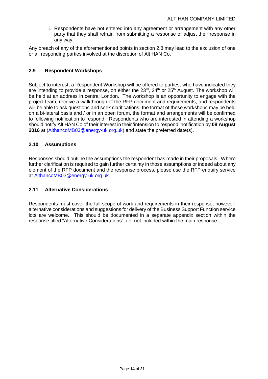ii. Respondents have not entered into any agreement or arrangement with any other party that they shall refrain from submitting a response or adjust their response in any way.

Any breach of any of the aforementioned points in section 2.8 may lead to the exclusion of one or all responding parties involved at the discretion of Alt HAN Co.

#### <span id="page-13-0"></span>**2.9 Respondent Workshops**

Subject to interest, a Respondent Workshop will be offered to parties, who have indicated they are intending to provide a response, on either the  $23<sup>rd</sup>$ ,  $24<sup>th</sup>$  or  $25<sup>th</sup>$  August. The workshop will be held at an address in central London. The workshop is an opportunity to engage with the project team, receive a walkthrough of the RFP document and requirements, and respondents will be able to ask questions and seek clarifications, the format of these workshops may be held on a bi-lateral basis and / or in an open forum, the format and arrangements will be confirmed to following notification to respond. Respondents who are interested in attending a workshop should notify Alt HAN Co of their interest in their 'intension to respond' notification by **08 August 2016** at [\(AlthancoMB03@energy-uk.org.uk\)](mailto:AlthancoMB03@energy-uk.org.uk) and state the preferred date(s).

#### <span id="page-13-1"></span>**2.10 Assumptions**

Responses should outline the assumptions the respondent has made in their proposals. Where further clarification is required to gain further certainty in those assumptions or indeed about any element of the RFP document and the response process, please use the RFP enquiry service at [AlthancoMB03@energy-uk.org.uk.](mailto:AlthancoMB03@energy-uk.org.uk)

#### <span id="page-13-2"></span>**2.11 Alternative Considerations**

Respondents must cover the full scope of work and requirements in their response; however, alternative considerations and suggestions for delivery of the Business Support Function service lots are welcome. This should be documented in a separate appendix section within the response titled "Alternative Considerations", i.e. not included within the main response.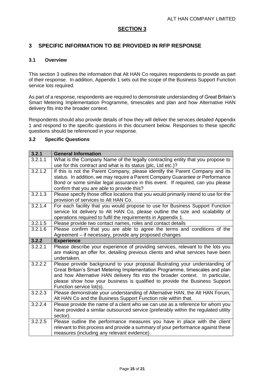### <span id="page-14-0"></span>**3 SPECIFIC INFORMATION TO BE PROVIDED IN RFP RESPONSE**

#### <span id="page-14-1"></span>**3.1 Overview**

This section 3 outlines the information that Alt HAN Co requires respondents to provide as part of their response. In addition, Appendix 1 sets out the scope of the Business Support Function service lots required.

As part of a response, respondents are required to demonstrate understanding of Great Britain's Smart Metering Implementation Programme, timescales and plan and how Alternative HAN delivery fits into the broader context.

Respondents should also provide details of how they will deliver the services detailed Appendix 1 and respond to the specific questions in this document below. Responses to these specific questions should be referenced in your response.

#### <span id="page-14-2"></span>**3.2 Specific Questions**

| 3.2.1                | <b>General Information</b>                                                                                                                                                                                                                                                                                                                                |
|----------------------|-----------------------------------------------------------------------------------------------------------------------------------------------------------------------------------------------------------------------------------------------------------------------------------------------------------------------------------------------------------|
| 3.2.1.1              | What is the Company Name of the legally contracting entity that you propose to<br>use for this contract and what is its status (plc, Ltd etc.)?                                                                                                                                                                                                           |
| 3.2.1.2              | If this is not the Parent Company, please identify the Parent Company and its<br>status. In addition, we may require a Parent Company Guarantee or Performance<br>Bond or some similar legal assurance in this event. If required, can you please<br>confirm that you are able to provide this?                                                           |
| 3.2.1.3              | Please specify those office locations that you would primarily intend to use for the<br>provision of services to Alt HAN Co.                                                                                                                                                                                                                              |
| 3.2.1.4              | For each facility that you would propose to use for Business Support Function<br>service lot delivery to Alt HAN Co, please outline the size and scalability of<br>operations required to fulfil the requirements in Appendix 1.                                                                                                                          |
| 3.2.1.5              | Please provide two contact names, roles and contact details                                                                                                                                                                                                                                                                                               |
| 3.2.1.6              | Please confirm that you are able to agree the terms and conditions of the<br>Agreement - if necessary, provide any proposed changes                                                                                                                                                                                                                       |
| 3.2.2                | <b>Experience</b>                                                                                                                                                                                                                                                                                                                                         |
| 3.2.2.1              | Please describe your experience of providing services, relevant to the lots you<br>are making an offer for, detailing previous clients and what services have been<br>undertaken.                                                                                                                                                                         |
| $\overline{3.2.2.2}$ | Please provide background to your proposal illustrating your understanding of<br>Great Britain's Smart Metering Implementation Programme, timescales and plan<br>and how Alternative HAN delivery fits into the broader context. In particular,<br>please show how your business is qualified to provide the Business Support<br>Function service lot(s). |
| 3.2.2.3              | Please demonstrate your understanding of Alternative HAN, the Alt HAN Forum,<br>Alt HAN Co and the Business Support Function role within that.                                                                                                                                                                                                            |
| 3.2.2.4              | Please provide the name of a client who we can use as a reference for whom you<br>have provided a similar outsourced service (preferably within the regulated utility<br>sector).                                                                                                                                                                         |
| 3.2.2.5              | Please outline the performance measures you have in place with the client<br>relevant to this process and provide a summary of your performance against these<br>measures (including any relevant evidence).                                                                                                                                              |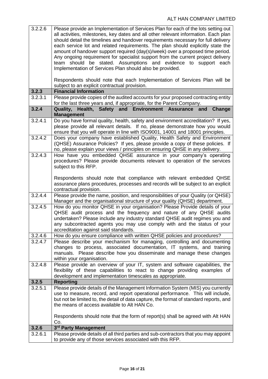| 3.2.2.6 | Please provide an Implementation of Services Plan for each of the lots setting out<br>all activities, milestones, key dates and all other relevant information. Each plan<br>should detail the timelines and handover requirements necessary for full delivery<br>each service lot and related requirements. The plan should explicitly state the<br>amount of handover support required (day(s)/week) over a proposed time period.<br>Any ongoing requirement for specialist support from the current project delivery<br>team should be stated. Assumptions and evidence to support each<br>Implementation of Services Plan should also be provided.<br>Respondents should note that each Implementation of Services Plan will be |
|---------|-------------------------------------------------------------------------------------------------------------------------------------------------------------------------------------------------------------------------------------------------------------------------------------------------------------------------------------------------------------------------------------------------------------------------------------------------------------------------------------------------------------------------------------------------------------------------------------------------------------------------------------------------------------------------------------------------------------------------------------|
|         | subject to an explicit contractual provision.                                                                                                                                                                                                                                                                                                                                                                                                                                                                                                                                                                                                                                                                                       |
| 3.2.3   | <b>Financial Information</b>                                                                                                                                                                                                                                                                                                                                                                                                                                                                                                                                                                                                                                                                                                        |
| 3.2.3.1 | Please provide copies of the audited accounts for your proposed contracting entity<br>for the last three years and, if appropriate, for the Parent Company.                                                                                                                                                                                                                                                                                                                                                                                                                                                                                                                                                                         |
| 3.2.4   | Health, Safety and Environment Assurance<br>Quality,<br>and<br>Change<br><b>Management</b>                                                                                                                                                                                                                                                                                                                                                                                                                                                                                                                                                                                                                                          |
| 3.2.4.1 | Do you have formal quality, health, safety and environment accreditation? If yes,<br>please provide all relevant details. If no, please demonstrate how you would<br>ensure that you will operate in line with ISO9001, 14001 and 18001 principles.                                                                                                                                                                                                                                                                                                                                                                                                                                                                                 |
| 3.2.4.2 | Does your company have established Quality, Health Safety and Environment<br>(QHSE) Assurance Policies? If yes, please provide a copy of these policies. If<br>no, please explain your views / principles on ensuring QHSE in any delivery.                                                                                                                                                                                                                                                                                                                                                                                                                                                                                         |
| 3.2.4.3 | How have you embedded QHSE assurance in your company's operating<br>procedures? Please provide documents relevant to operation of the services<br>subject to this RFP.                                                                                                                                                                                                                                                                                                                                                                                                                                                                                                                                                              |
|         | Respondents should note that compliance with relevant embedded QHSE<br>assurance plans procedures, processes and records will be subject to an explicit<br>contractual provision.                                                                                                                                                                                                                                                                                                                                                                                                                                                                                                                                                   |
| 3.2.4.4 | Please provide the name, position, and responsibilities of your Quality (or QHSE)<br>Manager and the organisational structure of your quality (QHSE) department.                                                                                                                                                                                                                                                                                                                                                                                                                                                                                                                                                                    |
| 3.2.4.5 | How do you monitor QHSE in your organisation? Please Provide details of your<br>QHSE audit process and the frequency and nature of any QHSE audits<br>undertaken? Please include any industry standard QHSE audit regimes you and<br>any subcontracted agents you may use comply with and the status of your<br>accreditation against said standards.                                                                                                                                                                                                                                                                                                                                                                               |
| 3.2.4.6 | How do you ensure compliance with written QHSE policies and procedures?                                                                                                                                                                                                                                                                                                                                                                                                                                                                                                                                                                                                                                                             |
| 3.2.4.7 | Please describe your mechanism for managing, controlling and documenting<br>changes to process, associated documentation, IT systems, and training<br>manuals. Please describe how you disseminate and manage these changes<br>within your organisation.                                                                                                                                                                                                                                                                                                                                                                                                                                                                            |
| 3.2.4.8 | Please provide an overview of your IT, system and software capabilities, the<br>flexibility of these capabilities to react to change providing examples of<br>development and implementation timescales as appropriate.                                                                                                                                                                                                                                                                                                                                                                                                                                                                                                             |
| 3.2.5   | <b>Reporting</b>                                                                                                                                                                                                                                                                                                                                                                                                                                                                                                                                                                                                                                                                                                                    |
| 3.2.5.1 | Please provide details of the Management Information System (MIS) you currently<br>use to measure, record, and report operational performance. This will include,<br>but not be limited to, the detail of data capture, the format of standard reports, and<br>the means of access available to Alt HAN Co.                                                                                                                                                                                                                                                                                                                                                                                                                         |
|         | Respondents should note that the form of report(s) shall be agreed with Alt HAN<br>Co.                                                                                                                                                                                                                                                                                                                                                                                                                                                                                                                                                                                                                                              |
| 3.2.6   | 3rd Party Management                                                                                                                                                                                                                                                                                                                                                                                                                                                                                                                                                                                                                                                                                                                |
| 3.2.6.1 | Please provide details of all third parties and sub-contractors that you may appoint<br>to provide any of those services associated with this RFP.                                                                                                                                                                                                                                                                                                                                                                                                                                                                                                                                                                                  |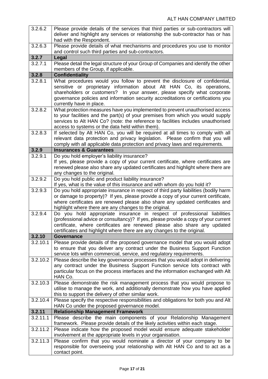|          | Please provide details of the services that third parties or sub-contractors will                                                                                 |
|----------|-------------------------------------------------------------------------------------------------------------------------------------------------------------------|
|          | deliver and highlight any services or relationship the sub-contractor has or has                                                                                  |
|          | had with the Respondent.                                                                                                                                          |
| 3.2.6.3  | Please provide details of what mechanisms and procedures you use to monitor                                                                                       |
|          | and control such third parties and sub-contractors.                                                                                                               |
| 3.2.7    | <b>Legal</b>                                                                                                                                                      |
| 3.2.7.1  | Please detail the legal structure of your Group of Companies and identify the other                                                                               |
|          | members of the Group, if applicable.                                                                                                                              |
| 3.2.8    | <b>Confidentiality</b>                                                                                                                                            |
| 3.2.8.1  | What procedures would you follow to prevent the disclosure of confidential,                                                                                       |
|          | sensitive or proprietary information about Alt HAN Co, its operations,                                                                                            |
|          | shareholders or customers? In your answer, please specify what corporate                                                                                          |
|          | governance policies and information security accreditations or certifications you                                                                                 |
|          | currently have in place.                                                                                                                                          |
| 3.2.8.2  | What protection measures have you implemented to prevent unauthorised access                                                                                      |
|          | to your facilities and the part(s) of your premises from which you would supply                                                                                   |
|          | services to Alt HAN Co? (note: the reference to facilities includes unauthorised                                                                                  |
|          | access to systems or the data held within them).                                                                                                                  |
| 3.2.8.3  | If selected by Alt HAN Co, you will be required at all times to comply with all                                                                                   |
|          | relevant data protection and privacy legislation. Please confirm that you will                                                                                    |
|          | comply with all applicable data protection and privacy laws and requirements.                                                                                     |
| 3.2.9    | <b>Insurances &amp; Guarantees</b>                                                                                                                                |
| 3.2.9.1  | Do you hold employer's liability insurance?                                                                                                                       |
|          | If yes, please provide a copy of your current certificate, where certificates are                                                                                 |
|          | renewed please also share any updated certificates and highlight where there are                                                                                  |
| 3.2.9.2  | any changes to the original.                                                                                                                                      |
|          | Do you hold public and product liability insurance?                                                                                                               |
| 3.2.9.3  | If yes, what is the value of this insurance and with whom do you hold it?<br>Do you hold appropriate insurance in respect of third party liabilities (bodily harm |
|          | or damage to property)? If yes, please provide a copy of your current certificate,                                                                                |
|          | where certificates are renewed please also share any updated certificates and                                                                                     |
|          | highlight where there are any changes to the original.                                                                                                            |
|          |                                                                                                                                                                   |
|          |                                                                                                                                                                   |
| 3.2.9.4  | Do you hold appropriate insurance in respect of professional liabilities                                                                                          |
|          | (professional advice or consultancy)? If yes, please provide a copy of your current                                                                               |
|          | certificate, where certificates are renewed please also share any updated<br>certificates and highlight where there are any changes to the original.              |
| 3.2.10   | <b>Governance</b>                                                                                                                                                 |
| 3.2.10.1 | Please provide details of the proposed governance model that you would adopt                                                                                      |
|          | to ensure that you deliver any contract under the Business Support Function                                                                                       |
|          | service lots within commercial, service, and regulatory requirements.                                                                                             |
| 3.2.10.2 | Please describe the key governance processes that you would adopt in delivering                                                                                   |
|          | any contract under the Business Support Function service lots contract with                                                                                       |
|          | particular focus on the process interfaces and the information exchanged with Alt                                                                                 |
|          | HAN Co.                                                                                                                                                           |
| 3.2.10.3 | Please demonstrate the risk management process that you would propose to                                                                                          |
|          | utilise to manage the work, and additionally demonstrate how you have applied                                                                                     |
|          | this to support the delivery of other similar work.                                                                                                               |
| 3.2.10.4 | Please specify the respective responsibilities and obligations for both you and Alt                                                                               |
|          | HAN Co under the proposed governance model.                                                                                                                       |
| 3.2.11   | <b>Relationship Management Framework</b>                                                                                                                          |
| 3.2.11.1 | Please describe the main components of your Relationship Management                                                                                               |
|          | framework. Please provide details of the likely activities within each stage.                                                                                     |
| 3.2.11.2 | Please indicate how the proposed model would ensure adequate stakeholder                                                                                          |
|          | involvement at the appropriate levels in your organisation.                                                                                                       |
| 3.2.11.3 | Please confirm that you would nominate a director of your company to be                                                                                           |
|          | responsible for overseeing your relationship with Alt HAN Co and to act as a<br>contact point.                                                                    |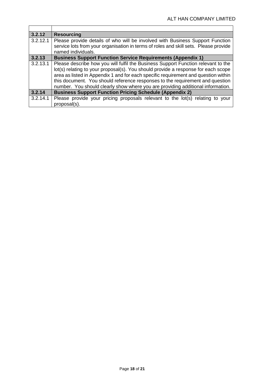| 3.2.12   | <b>Resourcing</b>                                                                                                                                                                                                                                                                                                                                                                                                                |
|----------|----------------------------------------------------------------------------------------------------------------------------------------------------------------------------------------------------------------------------------------------------------------------------------------------------------------------------------------------------------------------------------------------------------------------------------|
| 3.2.12.1 | Please provide details of who will be involved with Business Support Function<br>service lots from your organisation in terms of roles and skill sets. Please provide<br>named individuals.                                                                                                                                                                                                                                      |
| 3.2.13   | <b>Business Support Function Service Requirements (Appendix 1)</b>                                                                                                                                                                                                                                                                                                                                                               |
| 3.2.13.1 | Please describe how you will fulfil the Business Support Function relevant to the<br>lot(s) relating to your proposal(s). You should provide a response for each scope<br>area as listed in Appendix 1 and for each specific requirement and question within<br>this document. You should reference responses to the requirement and question<br>number. You should clearly show where you are providing additional information. |
| 3.2.14   | <b>Business Support Function Pricing Schedule (Appendix 2)</b>                                                                                                                                                                                                                                                                                                                                                                   |
| 3.2.14.1 | Please provide your pricing proposals relevant to the lot(s) relating to your<br>proposal(s).                                                                                                                                                                                                                                                                                                                                    |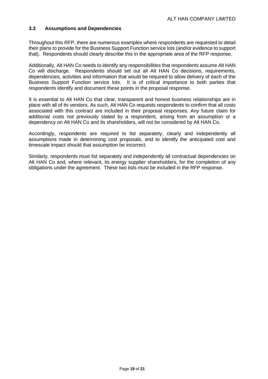#### <span id="page-18-0"></span>**3.3 Assumptions and Dependencies**

Throughout this RFP, there are numerous examples where respondents are requested to detail their plans to provide for the Business Support Function service lots (and/or evidence to support that). Respondents should clearly describe this in the appropriate area of the RFP response.

Additionally, Alt HAN Co needs to identify any responsibilities that respondents assume Alt HAN Co will discharge. Respondents should set out all Alt HAN Co decisions, requirements, dependencies, activities and information that would be required to allow delivery of each of the Business Support Function service lots. It is of critical importance to both parties that respondents identify and document these points in the proposal response.

It is essential to Alt HAN Co that clear, transparent and honest business relationships are in place with all of its vendors. As such, Alt HAN Co requests respondents to confirm that all costs associated with this contract are included in their proposal responses. Any future claim for additional costs not previously stated by a respondent, arising from an assumption or a dependency on Alt HAN Co and its shareholders, will not be considered by Alt HAN Co.

Accordingly, respondents are required to list separately, clearly and independently all assumptions made in determining cost proposals, and to identify the anticipated cost and timescale impact should that assumption be incorrect.

Similarly, respondents must list separately and independently all contractual dependencies on Alt HAN Co and, where relevant, its energy supplier shareholders, for the completion of any obligations under the agreement. These two lists must be included in the RFP response.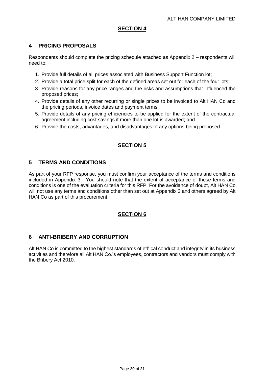# <span id="page-19-0"></span>**4 PRICING PROPOSALS**

Respondents should complete the pricing schedule attached as Appendix 2 – respondents will need to:

- 1. Provide full details of all prices associated with Business Support Function lot;
- 2. Provide a total price split for each of the defined areas set out for each of the four lots;
- 3. Provide reasons for any price ranges and the risks and assumptions that influenced the proposed prices;
- 4. Provide details of any other recurring or single prices to be invoiced to Alt HAN Co and the pricing periods, invoice dates and payment terms;
- 5. Provide details of any pricing efficiencies to be applied for the extent of the contractual agreement including cost savings if more than one lot is awarded; and
- 6. Provide the costs, advantages, and disadvantages of any options being proposed.

# **SECTION 5**

# <span id="page-19-1"></span>**5 TERMS AND CONDITIONS**

As part of your RFP response, you must confirm your acceptance of the terms and conditions included in Appendix 3. You should note that the extent of acceptance of these terms and conditions is one of the evaluation criteria for this RFP. For the avoidance of doubt, Alt HAN Co will not use any terms and conditions other than set out at Appendix 3 and others agreed by Alt HAN Co as part of this procurement.

# **SECTION 6**

#### <span id="page-19-2"></span>**6 ANTI-BRIBERY AND CORRUPTION**

Alt HAN Co is committed to the highest standards of ethical conduct and integrity in its business activities and therefore all Alt HAN Co.'s employees, contractors and vendors must comply with the Bribery Act 2010.